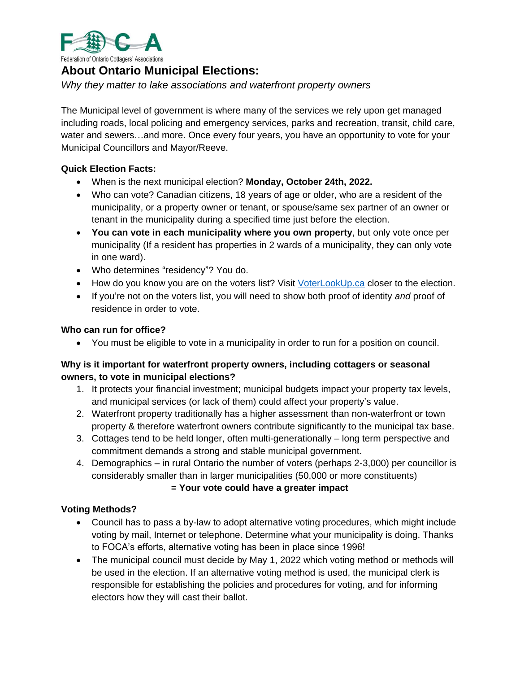

# **About Ontario Municipal Elections:**

*Why they matter to lake associations and waterfront property owners*

The Municipal level of government is where many of the services we rely upon get managed including roads, local policing and emergency services, parks and recreation, transit, child care, water and sewers…and more. Once every four years, you have an opportunity to vote for your Municipal Councillors and Mayor/Reeve.

### **Quick Election Facts:**

- When is the next municipal election? **Monday, October 24th, 2022.**
- Who can vote? Canadian citizens, 18 years of age or older, who are a resident of the municipality, or a property owner or tenant, or spouse/same sex partner of an owner or tenant in the municipality during a specified time just before the election.
- **You can vote in each municipality where you own property**, but only vote once per municipality (If a resident has properties in 2 wards of a municipality, they can only vote in one ward).
- Who determines "residency"? You do.
- How do you know you are on the voters list? Visit [VoterLookUp.ca](https://voterlookup.ca/) closer to the election.
- If you're not on the voters list, you will need to show both proof of identity *and* proof of residence in order to vote.

### **Who can run for office?**

• You must be eligible to vote in a municipality in order to run for a position on council.

# **Why is it important for waterfront property owners, including cottagers or seasonal owners, to vote in municipal elections?**

- 1. It protects your financial investment; municipal budgets impact your property tax levels, and municipal services (or lack of them) could affect your property's value.
- 2. Waterfront property traditionally has a higher assessment than non-waterfront or town property & therefore waterfront owners contribute significantly to the municipal tax base.
- 3. Cottages tend to be held longer, often multi-generationally long term perspective and commitment demands a strong and stable municipal government.
- 4. Demographics in rural Ontario the number of voters (perhaps 2-3,000) per councillor is considerably smaller than in larger municipalities (50,000 or more constituents)

### **= Your vote could have a greater impact**

# **Voting Methods?**

- Council has to pass a by-law to adopt alternative voting procedures, which might include voting by mail, Internet or telephone. Determine what your municipality is doing. Thanks to FOCA's efforts, alternative voting has been in place since 1996!
- The municipal council must decide by May 1, 2022 which voting method or methods will be used in the election. If an alternative voting method is used, the municipal clerk is responsible for establishing the policies and procedures for voting, and for informing electors how they will cast their ballot.